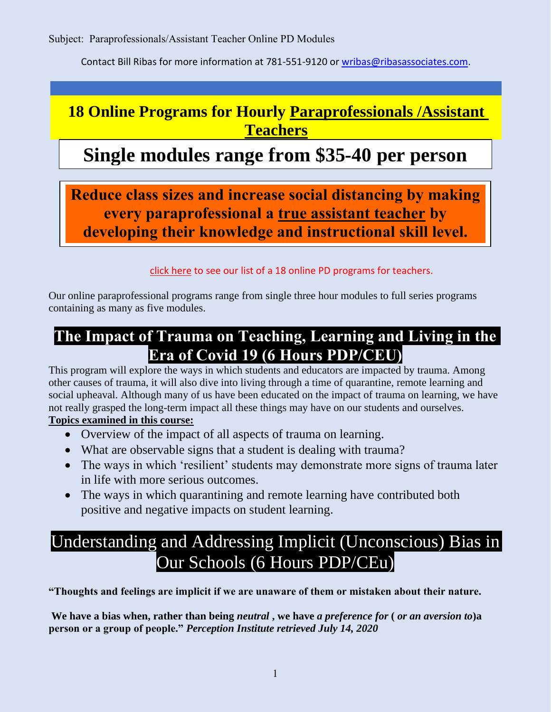Subject: Paraprofessionals/Assistant Teacher Online PD Modules

Contact Bill Ribas for more information at 781-551-9120 or [wribas@ribasassociates.com.](mailto:wribas@ribasassociates.com)

## **18 Online Programs for Hourly Paraprofessionals /Assistant Teachers**

# **Single modules range from \$35-40 per person**

**Reduce class sizes and increase social distancing by making every paraprofessional a true assistant teacher by developing their knowledge and instructional skill level.**

click here to see our list of a 18 online PD programs for teachers.

Our online paraprofessional programs range from single three hour modules to full series programs containing as many as five modules.

## **The Impact of Trauma on Teaching, Learning and Living in the Era of Covid 19 (6 Hours PDP/CEU)**

This program will explore the ways in which students and educators are impacted by trauma. Among other causes of trauma, it will also dive into living through a time of quarantine, remote learning and social upheaval. Although many of us have been educated on the impact of trauma on learning, we have not really grasped the long-term impact all these things may have on our students and ourselves. **Topics examined in this course:**

- Overview of the impact of all aspects of trauma on learning.
- What are observable signs that a student is dealing with trauma?
- The ways in which 'resilient' students may demonstrate more signs of trauma later in life with more serious outcomes.
- The ways in which quarantining and remote learning have contributed both positive and negative impacts on student learning.

# Understanding and Addressing Implicit (Unconscious) Bias in Our Schools (6 Hours PDP/CEu)

**"Thoughts and feelings are implicit if we are unaware of them or mistaken about their nature.**

**We have a bias when, rather than being** *neutral* **, we have** *a preference for* **(** *or an aversion to***)a person or a group of people."** *Perception Institute retrieved July 14, 2020*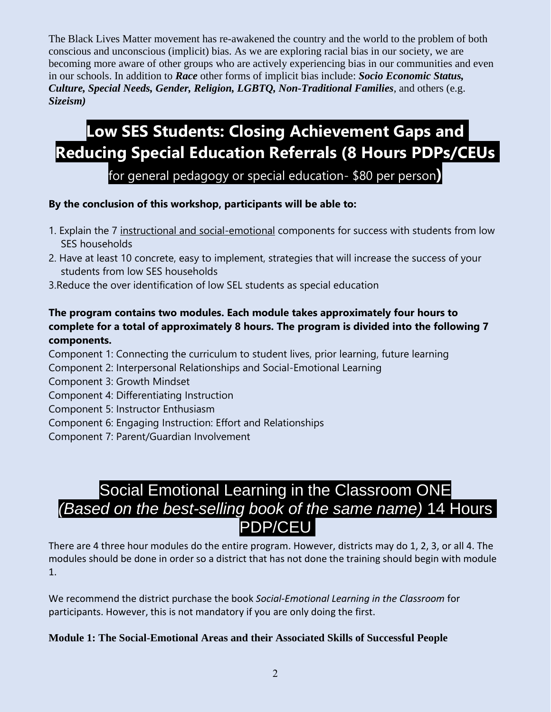The Black Lives Matter movement has re-awakened the country and the world to the problem of both conscious and unconscious (implicit) bias. As we are exploring racial bias in our society, we are becoming more aware of other groups who are actively experiencing bias in our communities and even in our schools. In addition to *Race* other forms of implicit bias include: *Socio Economic Status, Culture, Special Needs, Gender, Religion, LGBTQ, Non-Traditional Families*, and others (e.g. *Sizeism)*

# **Low SES Students: Closing Achievement Gaps and Reducing Special Education Referrals (8 Hours PDPs/CEUs**

for general pedagogy or special education- \$80 per person**)**

#### **By the conclusion of this workshop, participants will be able to:**

- 1. Explain the 7 instructional and social-emotional components for success with students from low SES households
- 2. Have at least 10 concrete, easy to implement, strategies that will increase the success of your students from low SES households
- 3.Reduce the over identification of low SEL students as special education

#### **The program contains two modules. Each module takes approximately four hours to complete for a total of approximately 8 hours. The program is divided into the following 7 components.**

- Component 1: Connecting the curriculum to student lives, prior learning, future learning
- Component 2: Interpersonal Relationships and Social-Emotional Learning
- Component 3: Growth Mindset
- Component 4: Differentiating Instruction
- Component 5: Instructor Enthusiasm
- Component 6: Engaging Instruction: Effort and Relationships
- Component 7: Parent/Guardian Involvement

# Social Emotional Learning in the Classroom ONE *(Based on the best-selling book of the same name)* 14 Hours PDP/CEU

There are 4 three hour modules do the entire program. However, districts may do 1, 2, 3, or all 4. The modules should be done in order so a district that has not done the training should begin with module 1.

We recommend the district purchase the book *Social-Emotional Learning in the Classroom* for participants. However, this is not mandatory if you are only doing the first.

#### **Module 1: The Social-Emotional Areas and their Associated Skills of Successful People**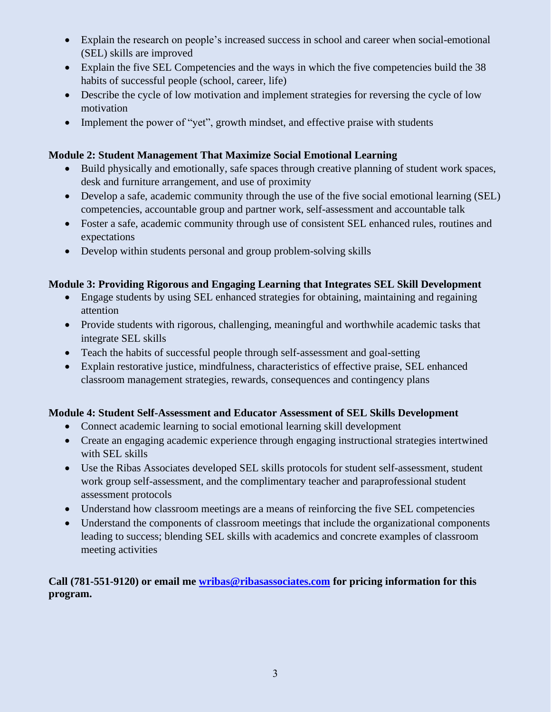- Explain the research on people's increased success in school and career when social-emotional (SEL) skills are improved
- Explain the five SEL Competencies and the ways in which the five competencies build the 38 habits of successful people (school, career, life)
- Describe the cycle of low motivation and implement strategies for reversing the cycle of low motivation
- Implement the power of "yet", growth mindset, and effective praise with students

#### **Module 2: Student Management That Maximize Social Emotional Learning**

- Build physically and emotionally, safe spaces through creative planning of student work spaces, desk and furniture arrangement, and use of proximity
- Develop a safe, academic community through the use of the five social emotional learning (SEL) competencies, accountable group and partner work, self-assessment and accountable talk
- Foster a safe, academic community through use of consistent SEL enhanced rules, routines and expectations
- Develop within students personal and group problem-solving skills

#### **Module 3: Providing Rigorous and Engaging Learning that Integrates SEL Skill Development**

- Engage students by using SEL enhanced strategies for obtaining, maintaining and regaining attention
- Provide students with rigorous, challenging, meaningful and worthwhile academic tasks that integrate SEL skills
- Teach the habits of successful people through self-assessment and goal-setting
- Explain restorative justice, mindfulness, characteristics of effective praise, SEL enhanced classroom management strategies, rewards, consequences and contingency plans

#### **Module 4: Student Self-Assessment and Educator Assessment of SEL Skills Development**

- Connect academic learning to social emotional learning skill development
- Create an engaging academic experience through engaging instructional strategies intertwined with SEL skills
- Use the Ribas Associates developed SEL skills protocols for student self-assessment, student work group self-assessment, and the complimentary teacher and paraprofessional student assessment protocols
- Understand how classroom meetings are a means of reinforcing the five SEL competencies
- Understand the components of classroom meetings that include the organizational components leading to success; blending SEL skills with academics and concrete examples of classroom meeting activities

#### **Call (781-551-9120) or email me [wribas@ribasassociates.com](mailto:wribas@ribasassociates.com) for pricing information for this program.**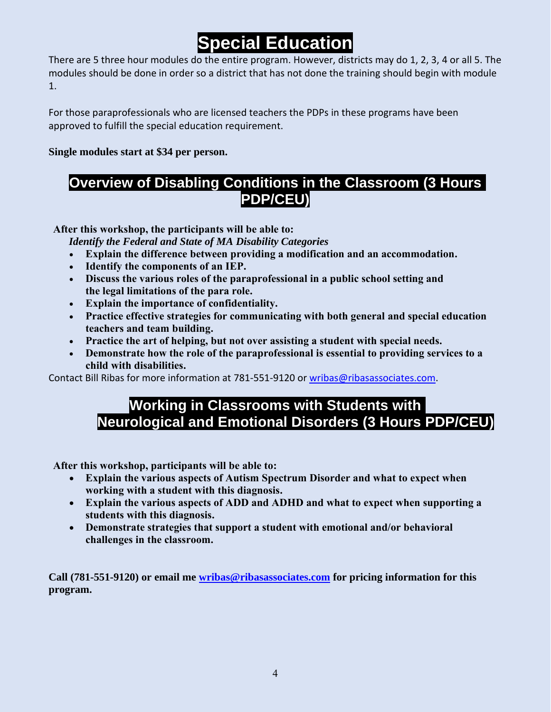# **Special Education**

There are 5 three hour modules do the entire program. However, districts may do 1, 2, 3, 4 or all 5. The modules should be done in order so a district that has not done the training should begin with module 1.

For those paraprofessionals who are licensed teachers the PDPs in these programs have been approved to fulfill the special education requirement.

**Single modules start at \$34 per person.**

#### **Overview of Disabling Conditions in the Classroom (3 Hours PDP/CEU)**

**After this workshop, the participants will be able to:**

*Identify the Federal and State of MA Disability Categories*

- **Explain the difference between providing a modification and an accommodation.**
- **Identify the components of an IEP.**
- **Discuss the various roles of the paraprofessional in a public school setting and the legal limitations of the para role.**
- **Explain the importance of confidentiality.**
- **Practice effective strategies for communicating with both general and special education teachers and team building.**
- **Practice the art of helping, but not over assisting a student with special needs.**
- **Demonstrate how the role of the paraprofessional is essential to providing services to a child with disabilities.**

Contact Bill Ribas for more information at 781-551-9120 or [wribas@ribasassociates.com.](mailto:wribas@ribasassociates.com)

#### **Working in Classrooms with Students with Neurological and Emotional Disorders (3 Hours PDP/CEU)**

**After this workshop, participants will be able to:**

- **Explain the various aspects of Autism Spectrum Disorder and what to expect when working with a student with this diagnosis.**
- **Explain the various aspects of ADD and ADHD and what to expect when supporting a students with this diagnosis.**
- **Demonstrate strategies that support a student with emotional and/or behavioral challenges in the classroom.**

**Call (781-551-9120) or email me [wribas@ribasassociates.com](mailto:wribas@ribasassociates.com) for pricing information for this program.**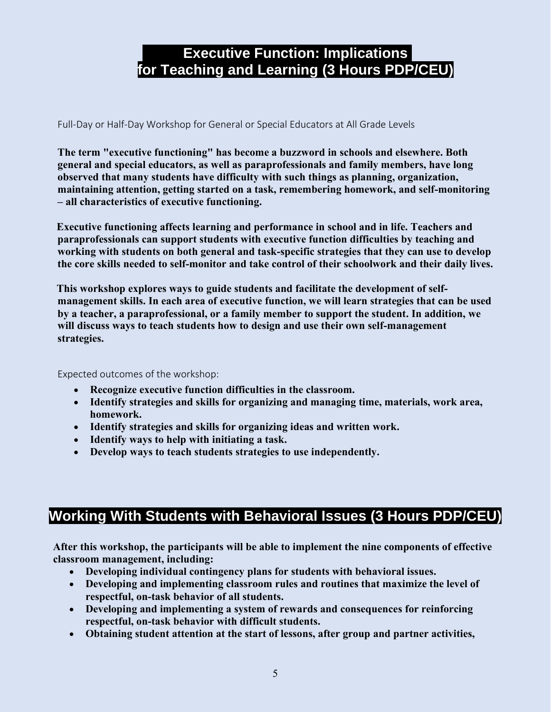## **Executive Function: Implications for Teaching and Learning (3 Hours PDP/CEU)**

Full-Day or Half-Day Workshop for General or Special Educators at All Grade Levels

**The term "executive functioning" has become a buzzword in schools and elsewhere. Both general and special educators, as well as paraprofessionals and family members, have long observed that many students have difficulty with such things as planning, organization, maintaining attention, getting started on a task, remembering homework, and self-monitoring – all characteristics of executive functioning.**

**Executive functioning affects learning and performance in school and in life. Teachers and paraprofessionals can support students with executive function difficulties by teaching and working with students on both general and task-specific strategies that they can use to develop the core skills needed to self-monitor and take control of their schoolwork and their daily lives.**

**This workshop explores ways to guide students and facilitate the development of selfmanagement skills. In each area of executive function, we will learn strategies that can be used by a teacher, a paraprofessional, or a family member to support the student. In addition, we will discuss ways to teach students how to design and use their own self-management strategies.**

Expected outcomes of the workshop:

- **Recognize executive function difficulties in the classroom.**
- **Identify strategies and skills for organizing and managing time, materials, work area, homework.**
- **Identify strategies and skills for organizing ideas and written work.**
- **Identify ways to help with initiating a task.**
- **Develop ways to teach students strategies to use independently.**

## **Working With Students with Behavioral Issues (3 Hours PDP/CEU)**

**After this workshop, the participants will be able to implement the nine components of effective classroom management, including:**

- **Developing individual contingency plans for students with behavioral issues.**
- **Developing and implementing classroom rules and routines that maximize the level of respectful, on-task behavior of all students.**
- **Developing and implementing a system of rewards and consequences for reinforcing respectful, on-task behavior with difficult students.**
- **Obtaining student attention at the start of lessons, after group and partner activities,**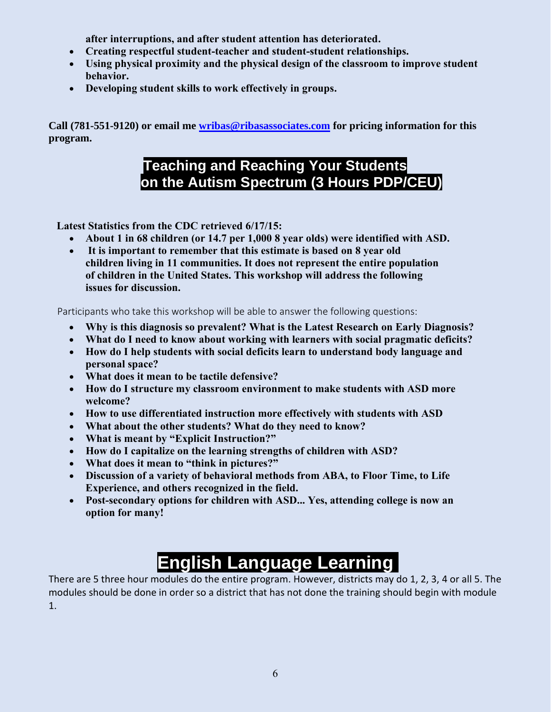**after interruptions, and after student attention has deteriorated.**

- **Creating respectful student-teacher and student-student relationships.**
- **Using physical proximity and the physical design of the classroom to improve student behavior.**
- **Developing student skills to work effectively in groups.**

**Call (781-551-9120) or email me [wribas@ribasassociates.com](mailto:wribas@ribasassociates.com) for pricing information for this program.**

## **Teaching and Reaching Your Students on the Autism Spectrum (3 Hours PDP/CEU)**

**Latest Statistics from the CDC retrieved 6/17/15:**

- **About 1 in 68 children (or 14.7 per 1,000 8 year olds) were identified with ASD.**
- **It is important to remember that this estimate is based on 8 year old children living in 11 communities. It does not represent the entire population of children in the United States. This workshop will address the following issues for discussion.**

Participants who take this workshop will be able to answer the following questions:

- **Why is this diagnosis so prevalent? What is the Latest Research on Early Diagnosis?**
- **What do I need to know about working with learners with social pragmatic deficits?**
- **How do I help students with social deficits learn to understand body language and personal space?**
- **What does it mean to be tactile defensive?**
- **How do I structure my classroom environment to make students with ASD more welcome?**
- **How to use differentiated instruction more effectively with students with ASD**
- **What about the other students? What do they need to know?**
- **What is meant by "Explicit Instruction?"**
- **How do I capitalize on the learning strengths of children with ASD?**
- **What does it mean to "think in pictures?"**
- **Discussion of a variety of behavioral methods from ABA, to Floor Time, to Life Experience, and others recognized in the field.**
- **Post-secondary options for children with ASD... Yes, attending college is now an option for many!**

# **English Language Learning**

There are 5 three hour modules do the entire program. However, districts may do 1, 2, 3, 4 or all 5. The modules should be done in order so a district that has not done the training should begin with module 1.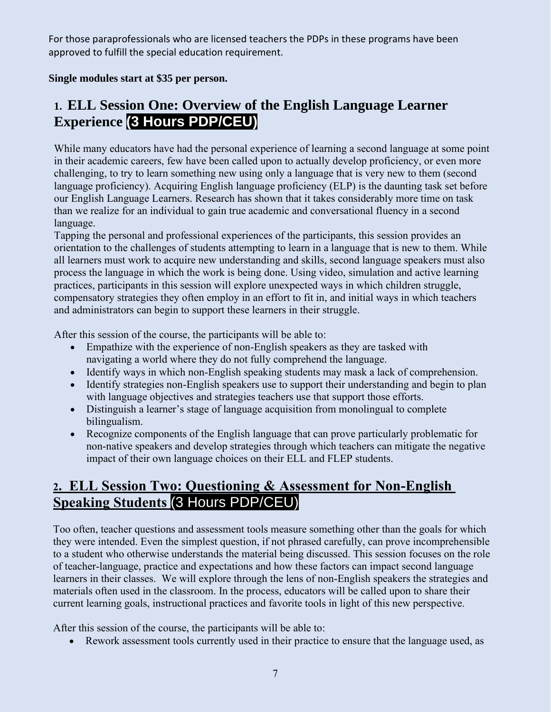For those paraprofessionals who are licensed teachers the PDPs in these programs have been approved to fulfill the special education requirement.

**Single modules start at \$35 per person.**

## **1. ELL Session One: Overview of the English Language Learner Experience (3 Hours PDP/CEU)**

While many educators have had the personal experience of learning a second language at some point in their academic careers, few have been called upon to actually develop proficiency, or even more challenging, to try to learn something new using only a language that is very new to them (second language proficiency). Acquiring English language proficiency (ELP) is the daunting task set before our English Language Learners. Research has shown that it takes considerably more time on task than we realize for an individual to gain true academic and conversational fluency in a second language.

Tapping the personal and professional experiences of the participants, this session provides an orientation to the challenges of students attempting to learn in a language that is new to them. While all learners must work to acquire new understanding and skills, second language speakers must also process the language in which the work is being done. Using video, simulation and active learning practices, participants in this session will explore unexpected ways in which children struggle, compensatory strategies they often employ in an effort to fit in, and initial ways in which teachers and administrators can begin to support these learners in their struggle.

After this session of the course, the participants will be able to:

- Empathize with the experience of non-English speakers as they are tasked with navigating a world where they do not fully comprehend the language.
- Identify ways in which non-English speaking students may mask a lack of comprehension.
- Identify strategies non-English speakers use to support their understanding and begin to plan with language objectives and strategies teachers use that support those efforts.
- Distinguish a learner's stage of language acquisition from monolingual to complete bilingualism.
- Recognize components of the English language that can prove particularly problematic for non-native speakers and develop strategies through which teachers can mitigate the negative impact of their own language choices on their ELL and FLEP students.

#### **2. ELL Session Two: Questioning & Assessment for Non-English Speaking Students** (3 Hours PDP/CEU)

Too often, teacher questions and assessment tools measure something other than the goals for which they were intended. Even the simplest question, if not phrased carefully, can prove incomprehensible to a student who otherwise understands the material being discussed. This session focuses on the role of teacher-language, practice and expectations and how these factors can impact second language learners in their classes. We will explore through the lens of non-English speakers the strategies and materials often used in the classroom. In the process, educators will be called upon to share their current learning goals, instructional practices and favorite tools in light of this new perspective.

After this session of the course, the participants will be able to:

• Rework assessment tools currently used in their practice to ensure that the language used, as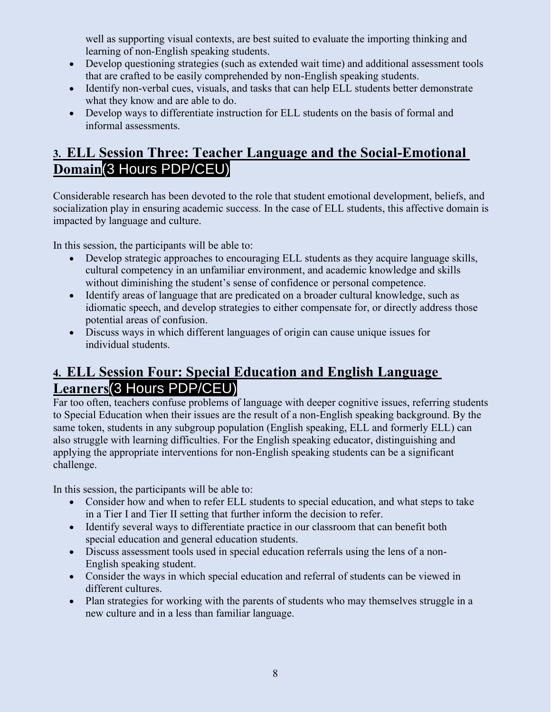well as supporting visual contexts, are best suited to evaluate the importing thinking and learning of non-English speaking students.

- Develop questioning strategies (such as extended wait time) and additional assessment tools that are crafted to be easily comprehended by non-English speaking students.
- Identify non-verbal cues, visuals, and tasks that can help ELL students better demonstrate what they know and are able to do.
- Develop ways to differentiate instruction for ELL students on the basis of formal and informal assessments.

#### **3. ELL Session Three: Teacher Language and the Social-Emotional Domain**(3 Hours PDP/CEU)

Considerable research has been devoted to the role that student emotional development, beliefs, and socialization play in ensuring academic success. In the case of ELL students, this affective domain is impacted by language and culture.

In this session, the participants will be able to:

- Develop strategic approaches to encouraging ELL students as they acquire language skills, cultural competency in an unfamiliar environment, and academic knowledge and skills without diminishing the student's sense of confidence or personal competence.
- Identify areas of language that are predicated on a broader cultural knowledge, such as idiomatic speech, and develop strategies to either compensate for, or directly address those potential areas of confusion.
- Discuss ways in which different languages of origin can cause unique issues for individual students.

#### **4. ELL Session Four: Special Education and English Language Learners**(3 Hours PDP/CEU)

Far too often, teachers confuse problems of language with deeper cognitive issues, referring students to Special Education when their issues are the result of a non-English speaking background. By the same token, students in any subgroup population (English speaking, ELL and formerly ELL) can also struggle with learning difficulties. For the English speaking educator, distinguishing and applying the appropriate interventions for non-English speaking students can be a significant challenge.

In this session, the participants will be able to:

- Consider how and when to refer ELL students to special education, and what steps to take in a Tier I and Tier II setting that further inform the decision to refer.
- Identify several ways to differentiate practice in our classroom that can benefit both special education and general education students.
- Discuss assessment tools used in special education referrals using the lens of a non-English speaking student.
- Consider the ways in which special education and referral of students can be viewed in different cultures.
- Plan strategies for working with the parents of students who may themselves struggle in a new culture and in a less than familiar language.